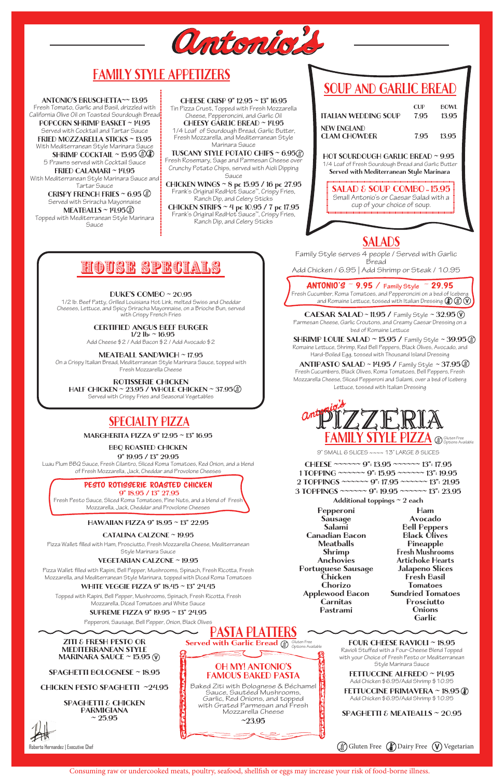

# FAMILY STYLE APPETIZERS

## SOUP AND GARLIC BREAD

OH MY! ANTONIO'S FAMOUS BAKED PASTA Baked Ziti with Bolognese & Béchamel Sauce, Sautéed Mushrooms, Garlic, Red Onions, and topped with Grated Parmesan and Fresh Mozzarella Cheese ~23.95

Served with Garlic Bread  $\bigcirc \hspace{-3.5mm}\circ\hspace{-3.5mm} \circ\hspace{-3.5mm} \circ\hspace{-3.5mm} \circ\hspace{-3.5mm} \circ\hspace{-3.5mm} \circ\hspace{-3.5mm} \circ\hspace{-3.5mm} \circ\hspace{-3.5mm} \circ\hspace{-3.5mm} \circ\hspace{-3.5mm} \circ\hspace{-3.5mm} \circ\hspace{-3.5mm} \circ\hspace{-3.5mm} \circ\hspace{-3.5mm} \circ\hspace{-3.5mm} \circ\hspace{-3.5mm} \circ\hspace{-3.5$ 

PASTA P

 HOT SOURDOUGH GARLIC BREAD ~ 9.95 1/4 Loaf of Fresh Sourdough Bread and Garlic Butter Served with Mediterranean Style Marinara

Consuming raw or undercooked meats, poultry, seafood, shellfish or eggs may increase your risk of food-borne illness.

Fresh Basil Tomatoes Sundried Tomatoes Prosciutto **Onions Garlic** 

## SPECIALTY PIZZA

9" SMALL 6 SLICES ~~~~ 13" LARGE 8 SLICES

| CHEESE ~~~~~~ 9": 13.95 ~~~~~~ 13": 17.95        |  |
|--------------------------------------------------|--|
| 1 TOPPING ~~~~~~ $9$ ": 15.95 ~~~~~~ 13": 19.95  |  |
| 2 TOPPINGS ~~~~~~ $9$ ": 17.95 ~~~~~~ 13": 21.95 |  |
| 3 TOPPINGS ~~~~~~ $9$ ": 19.95 ~~~~~~ 13": 23.95 |  |

Additional toppings  $\sim$  2 each

Pepperoni Sausage Salami Canadian Bacon Meatballs Shrimp Anchovies Portuguese Sausage

Chicken Chorizo Applewood Bacon Carnitas Pastrami

Ham Avocado Bell Peppers Black Olives Pineapple Fresh Mushrooms Artichoke Hearts Jalapeno Slices

CHEESE CRISP 9" 12.95 ~ 13" 16.95 Tin Pizza Crust, Topped with Fresh Mozzarella Cheese, Pepperoncini, and Garlic Oil CHEESY GARLIC BREAD ~ 14.95 1/4 Loaf of Sourdough Bread, Garlic Butter, Fresh Mozzarella, and Mediterranean Style Marinara Sauce TUSCANY STYLE POTATO CHIPS ~ 6.95.

MARGHERITA PIZZA 9" 12.95 ~ 13" 16.95

BBQ ROASTED CHICKEN

9" 19.95 / 13" 29.95

| <b>ITALIAN WEDDING SOUP</b>        | CUP <sup></sup><br>7.95 | BOWL<br>13.95 |
|------------------------------------|-------------------------|---------------|
| NEW ENGLAND<br><b>CLAM CHOWDER</b> | 7.95                    | 13.95         |
|                                    |                         |               |

Luau Plum BBQ Sauce, Fresh Cilantro, Sliced Roma Tomatoes, Red Onion, and a blend of Fresh Mozzarella, Jack, Cheddar and Provolone Cheeses

### PESTO ROTISSERIE ROASTED CHICKEN

9" 18.95 / 13" 27.95

ZITI & FRESH PESTO OR MEDITERRANEAN STYLE MARINARA SAUCE  $\sim$  15.95 (V)

Fresh Pesto Sauce, Sliced Roma Tomatoes, Pine Nuts, and a blend of Fresh Mozzarella, Jack, Cheddar and Provolone Cheeses

SPAGHETTI & CHICKEN PARMIGIANA  $\approx 25.95$ 

Roberto Hernandez | Executive Chef

### HAWAIIAN PIZZA 9" 18.95 ~ 13" 22.95

CATALINA CALZONE ~ 19.95

Pizza Wallet filled with Ham, Prosciutto, Fresh Mozzarella Cheese, Mediterranean Style Marinara Sauce

#### VEGETARIAN CALZONE ~ 19.95

Pizza Wallet filled with Rapini, Bell Pepper, Mushrooms, Spinach, Fresh Ricotta, Fresh

Mozzarella, and Mediterranean Style Marinara, topped with Diced Roma Tomatoes

Tartar Sauce CRISPY FRENCH FRIES  $\sim 6.95$ 

Served with Sriracha Mayonnaise  $MEATBALLS \sim 14.95$ 

#### WHITE VEGGIE PIZZA 9" 18.45 ~ 13" 24.45

Topped with Mediterranean Style Marinara **Sauce** 

> Topped with Rapini, Bell Pepper, Mushrooms, Spinach, Fresh Ricotta, Fresh Mozzarella, Diced Tomatoes and White Sauce

#### CERTIFIED ANGUS BEEF BURGER  $1/2$  lb:  $\sim$  16.95

#### SUPREME PIZZA 9" 19.95 ~ 13" 24.95

Pepperoni, Sausage, Bell Pepper, Onion, Black Olives

## SALAD & SOUP COMBO **~** 15.95

Small Antonio's or Caesar Salad with a cup of your choice of soup.

ANTONIO'S ~ 9.95 / **Family Style** ~ 29.95 Fresh Cucumber, Roma Tomatoes, and Pepperoncini on a bed of Iceberg and Romaine Lettuce, tossed with Italian Dressing  $\mathbb{Q}(\mathbb{Q})\mathbb{Q}$ 

**CAESAR SALAD ~ 11.95 /** Family Style  $\sim$  32.95  $\circ$ Parmesan Cheese, Garlic Croutons, and Creamy Caesar Dressing on a bed of Romaine Lettuce

**SHRIMP LOUIE SALAD ~ 15.95 / Family Style ~ 39.95** Romaine Lettuce, Shrimp, Red Bell Peppers, Black Olives, Avocado, and Hard-Boiled Egg, tossed with Thousand Island Dressing

#### ANTIPASTO SALAD ~  $14.95$  / Family Style ~  $37.95$   $\circledast$

Fresh Rosemary, Sage and Parmesan Cheese over Crunchy Potato Chips, served with Aioli Dipping Sauce

CHICKEN WINGS ~ 8 pc 15.95 / 16 pc 27.95 Frank's Original RedHot Sauce™, Crispy Fries, Ranch Dip, and Celery Sticks

CHICKEN STRIPS ~ 4 pc 10.95 / 7 pc 17.95 Frank's Original RedHot Sauce™, Crispy Fries, Ranch Dip, and Celery Sticks



SPAGHETTI BOLOGNESE ~ 18.95

CHICKEN PESTO SPAGHETTI ~24.95

FOUR CHEESE RAVIOLI ~ 18.95 Ravioli Stuffed with a Four-Cheese Blend Topped with your Choice of Fresh Pesto or Mediterranean Style Marinara Sauce

### FETTUCCINE ALFREDO ~ 14.95

Add Chicken \$6.95/Add Shrimp \$10.95

#### FETTUCCINE PRIMAVERA ~ 18.95 (

Add Chicken \$6.95/Add Shrimp \$10.95

SPAGHETTI & MEATBALLS ~ 20.95

 $\binom{4}{2}$  Gluten Free  $\binom{7}{1}$  Dairy Free  $\binom{7}{1}$  Vegetarian

ANTONIO'S BRUSCHETTA~~ 13.95

Fresh Tomato, Garlic and Basil, drizzled with California Olive Oil on Toasted Sourdough Bread

POPCORN SHRIMP BASKET ~ 14.95 Served with Cocktail and Tartar Sauce FRIED MOZZARELLA STICKS ~ 13.95 With Mediterranean Style Marinara Sauce SHRIMP COCKTAIL  $\sim$  15.95  $\circledast\circ$ 5 Prawns served with Cocktail Sauce FRIED CALAMARI ~ 14.95 With Mediterranean Style Marinara Sauce and

#### DUKE'S COMBO ~ 20.95

1/2 lb. Beef Patty, Grilled Louisiana Hot Link, melted Swiss and Cheddar Cheeses, Lettuce, and Spicy Sriracha Mayonnaise, on a Brioche Bun, served with Crispy French Fries

Add Cheese \$2 / Add Bacon \$2 / Add Avocado \$2

MEATBALL SANDWICH ~ 17.95

On a Crispy Italian Bread, Mediterranean Style Marinara Sauce, topped with Fresh Mozzarella Cheese

### ROTISSERIE CHICKEN

HALF CHICKEN ~ 23.95 / WHOLE CHICKEN ~ 37.95  $\circledast$ 

Served with Crispy Fries and Seasonal Vegetables

# HOUSE SPECIALS

Fresh Cucumbers, Black Olives, Roma Tomatoes, Bell Peppers, Fresh Mozzarella Cheese, Sliced Pepperoni and Salami, over a bed of Iceberg Lettuce, tossed with Italian Dressing

## SALADS

Family Style serves 4 people / Served with Garlic Bread

Add Chicken / 6.95 | Add Shrimp or Steak / 10.95